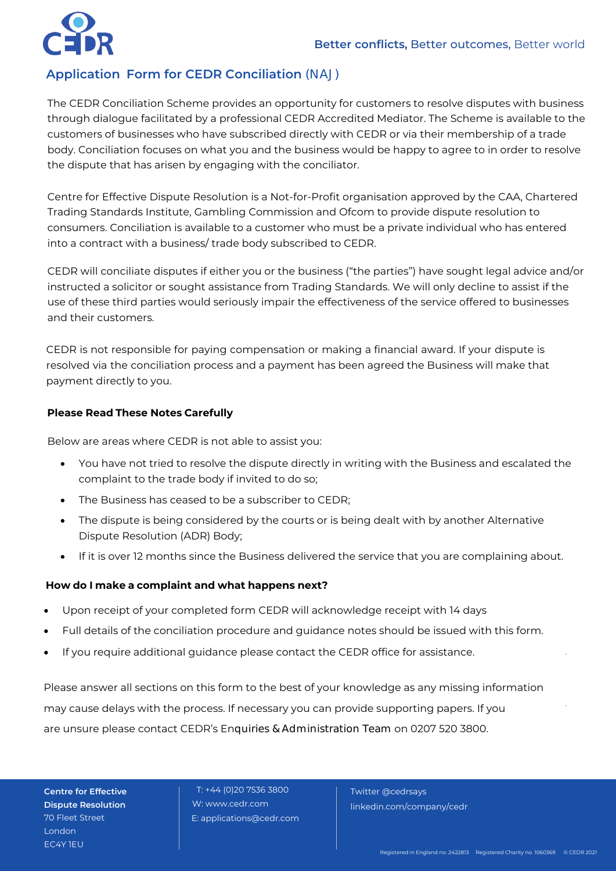# **Application Form for CEDR Conciliation** (NAJ)

The CEDR Conciliation Scheme provides an opportunity for customers to resolve disputes with business through dialogue facilitated by a professional CEDR Accredited Mediator. The Scheme is available to the customers of businesses who have subscribed directly with CEDR or via their membership of a trade body. Conciliation focuses on what you and the business would be happy to agree to in order to resolve the dispute that has arisen by engaging with the conciliator.

Centre for Effective Dispute Resolution is a Not-for-Profit organisation approved by the CAA, Chartered Trading Standards Institute, Gambling Commission and Ofcom to provide dispute resolution to consumers. Conciliation is available to a customer who must be a private individual who has entered into a contract with a business/ trade body subscribed to CEDR.

CEDR will conciliate disputes if either you or the business ("the parties") have sought legal advice and/or instructed a solicitor or sought assistance from Trading Standards. We will only decline to assist if the use of these third parties would seriously impair the effectiveness of the service offered to businesses and their customers.

CEDR is not responsible for paying compensation or making a financial award. If your dispute is resolved via the conciliation process and a payment has been agreed the Business will make that payment directly to you.

#### **Please Read These Notes Carefully**

Below are areas where CEDR is not able to assist you:

- You have not tried to resolve the dispute directly in writing with the Business and escalated the complaint to the trade body if invited to do so;
- The Business has ceased to be a subscriber to CEDR;
- The dispute is being considered by the courts or is being dealt with by another Alternative Dispute Resolution (ADR) Body;
- If it is over 12 months since the Business delivered the service that you are complaining about.

#### **How do I make a complaint and what happens next?**

- Upon receipt of your completed form CEDR will acknowledge receipt with 14 days
- Full details of the conciliation procedure and guidance notes should be issued with this form.
- If you require additional quidance please contact the CEDR office for assistance.

Please answer all sections on this form to the best of your knowledge as any missing information may cause delays with the process. If necessary you can provide supporting papers. If you are unsure please contact CEDR's Enquiries & Administration Team on 0207 520 3800.

**Centre for Effective Dispute Resolution** 70 Fleet Street London EC4Y 1EU

T: +44 (0)20 7536 3800 W: www.cedr.com E: applications@cedr.com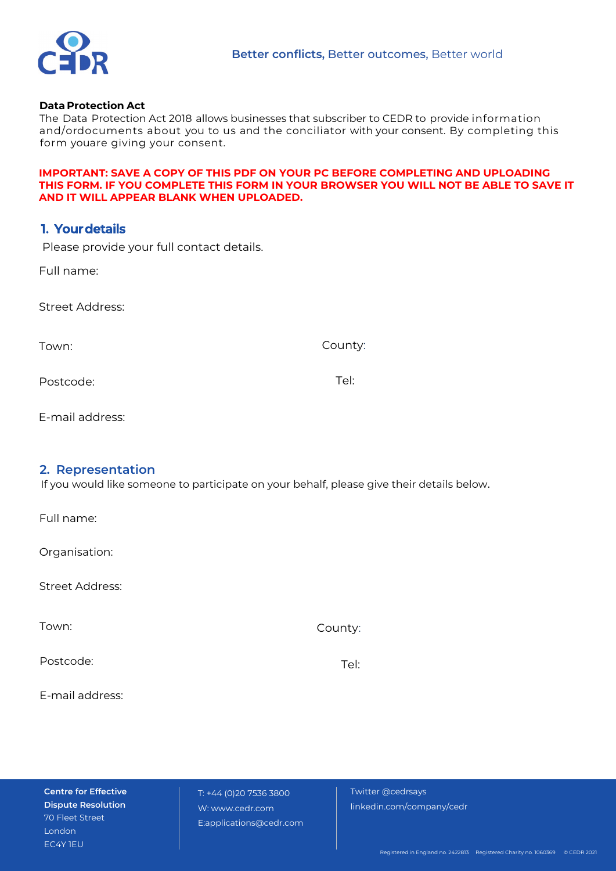

#### **Data Protection Act**

The Data Protection Act 2018 allows businesses that subscriber to CEDR to provide information and/ordocuments about you to us and the conciliator with your consent. By completing this form youare giving your consent.

#### **IMPORTANT: SAVE A COPY OF THIS PDF ON YOUR PC BEFORE COMPLETING AND UPLOADING THIS FORM. IF YOU COMPLETE THIS FORM IN YOUR BROWSER YOU WILL NOT BE ABLE TO SAVE IT AND IT WILL APPEAR BLANK WHEN UPLOADED.**

## **1. Yourdetails**

Please provide your full contact details.

Full name:

Street Address:

Town:

County:

Postcode:

Tel:

E-mail address:

### **2. Representation**

If you would like someone to participate on your behalf, please give their details below.

Full name:

Organisation:

Street Address:

Town:

County:

Postcode:

Tel:

E-mail address:

**Centre for Effective Dispute Resolution** 70 Fleet Street London EC4Y 1EU

T: +44 (0)20 7536 3800 W: www.cedr.com E:applications@cedr.com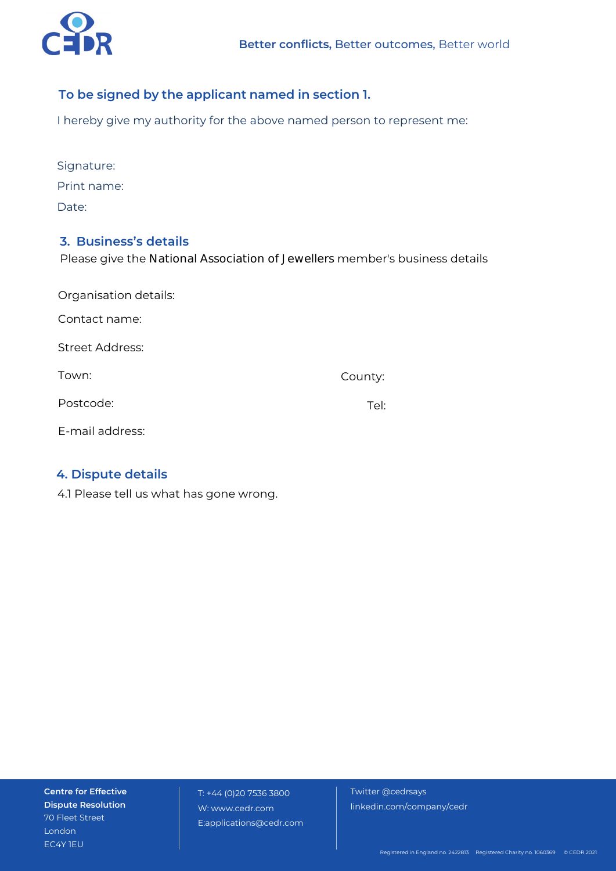

## **To be signed by the applicant named in section 1.**

I hereby give my authority for the above named person to represent me:

| Signature:  |
|-------------|
| Print name: |
| Date:       |

### **3. Business's details**

Please give the National Association of Jewellers member's business details

| Organisation details:  |         |  |
|------------------------|---------|--|
| Contact name:          |         |  |
| <b>Street Address:</b> |         |  |
| Town:                  | County: |  |
| Postcode:              | Tel:    |  |
| E-mail address:        |         |  |

## **4. Dispute details**

4.1 Please tell us what has gone wrong.

**Centre for Effective Dispute Resolution** 70 Fleet Street London EC4Y 1EU

T: +44 (0)20 7536 3800 W: www.cedr.com E:applications@cedr.com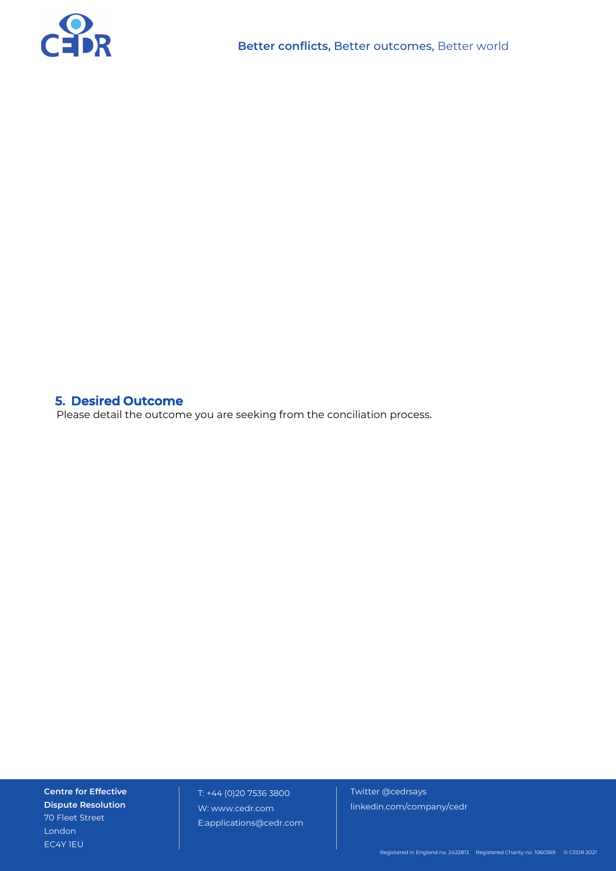

## **5. Desired Outcome**

Please detail the outcome you are seeking from the conciliation process.

**Centre for Effective Dispute Resolution** 70 Fleet Street London EC4Y 1EU

T: +44 (0)20 7536 3800 W: www.cedr.com E:applications@cedr.com